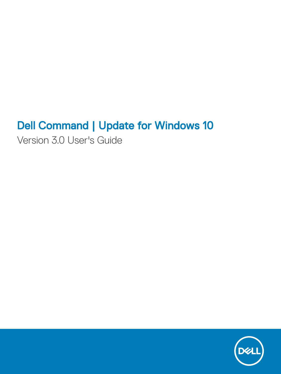# Dell Command | Update for Windows 10

Version 3.0 User's Guide

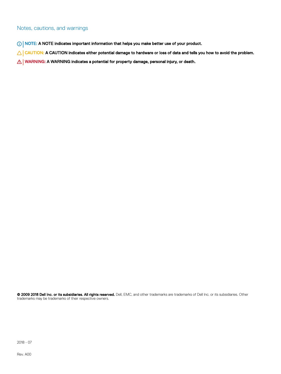#### Notes, cautions, and warnings

- NOTE: A NOTE indicates important information that helps you make better use of your product.
- **A CAUTION:** A CAUTION indicates either potential damage to hardware or loss of data and tells you how to avoid the problem.
- MUARNING: A WARNING indicates a potential for property damage, personal injury, or death.

© 2009 2018 Dell Inc. or its subsidiaries. All rights reserved. Dell, EMC, and other trademarks are trademarks of Dell Inc. or its subsidiaries. Other trademarks may be trademarks of their respective owners.

2018 - 07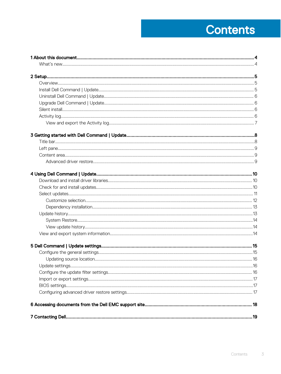# **Contents**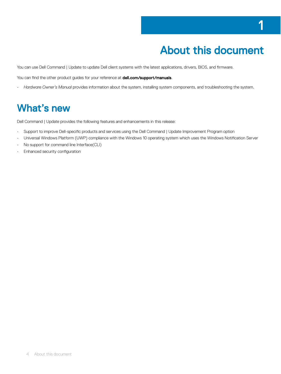1

<span id="page-3-0"></span>You can use Dell Command | Update to update Dell client systems with the latest applications, drivers, BIOS, and firmware.

You can find the other product guides for your reference at **dell.com/support/manuals**.

• *Hardware Owner's Manual* provides information about the system, installing system components, and troubleshooting the system.

## What's new

Dell Command | Update provides the following features and enhancements in this release:

- Support to improve Dell-specific products and services using the Dell Command | Update Improvement Program option
- Universal Windows Platform (UWP) compliance with the Windows 10 operating system which uses the Windows Notification Server
- No support for command line Interface(CLI)
- $\cdot$  Enhanced security configuration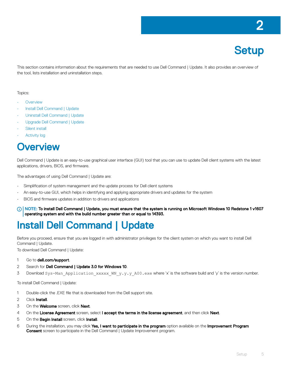# **Setup**

<span id="page-4-0"></span>This section contains information about the requirements that are needed to use Dell Command | Update. It also provides an overview of the tool, lists installation and uninstallation steps.

#### Topics:

- **Overview**
- Install Dell Command | Update
- [Uninstall Dell Command | Update](#page-5-0)
- [Upgrade Dell Command | Update](#page-5-0)
- [Silent install](#page-5-0)
- **[Activity log](#page-5-0)**

### Overview

Dell Command | Update is an easy-to-use graphical user interface (GUI) tool that you can use to update Dell client systems with the latest applications, drivers, BIOS, and firmware.

The advantages of using Dell Command | Update are:

- Simplification of system management and the update process for Dell client systems
- An easy-to-use GUI, which helps in identifying and applying appropriate drivers and updates for the system
- BIOS and firmware updates in addition to drivers and applications
- NOTE: To install Dell Command | Update, you must ensure that the system is running on Microsoft Windows 10 Redstone 1 v1607 operating system and with the build number greater than or equal to 14393.

## Install Dell Command | Update

Before you proceed, ensure that you are logged in with administrator privileges for the client system on which you want to install Dell Command | Update.

To download Dell Command | Update:

- 1 Go to **dell.com/support**.
- 2 Search for **Dell Command | Update 3.0 for Windows 10**.
- 3 Download Sys-Man\_Application\_xxxxx\_MN\_y.y.y\_A00.exe where 'x' is the software build and 'y' is the version number.

To install Dell Command | Update:

- 1 Double-click the .EXE file that is downloaded from the Dell support site.
- 2 Click **Install**.
- 3 On the **Welcome** screen, click **Next**.
- 4 On the License Agreement screen, select I accept the terms in the license agreement, and then click Next.
- 5 On the **Begin Install** screen, click Install.
- 6 During the installation, you may click Yes, I want to participate in the program option available on the Improvement Program **Consent** screen to participate in the Dell Command | Update Improvement program.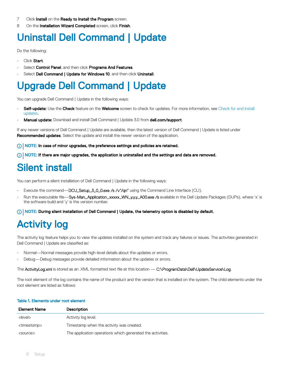- <span id="page-5-0"></span>7 Click Install on the Ready to Install the Program screen.
- 8 On the Installation Wizard Completed screen, click Finish.

## Uninstall Dell Command | Update

Do the following:

- Click Start.
- Select Control Panel, and then click Programs And Features.
- Select Dell Command | Update for Windows 10, and then click Uninstall.

## Upgrade Dell Command | Update

You can upgrade Dell Command | Update in the following ways:

- Self-update: Use the Check feature on the Welcome screen to check for updates. For more information, see Check for and install [updates](#page-9-0).
- **Manual update:** Download and install Dell Command | Update 3.0 from **dell.com/support**.

If any newer versions of Dell Command | Update are available, then the latest version of Dell Command | Update is listed under Recommended updates. Select the update and install the newer version of the application.

NOTE: In case of minor upgrades, the preference settings and policies are retained.

 $\cap$  NOTE: If there are major upgrades, the application is uninstalled and the settings and data are removed.

# Silent install

You can perform a silent installation of Dell Command | Update in the following ways:

- Execute the command—DCU\_Setup\_3\_0\_0.exe /s /v"/qn" using the Command Line Interface (CLI).
- Run the executable file—Sys-Man\_Application\_xxxxx\_WN\_y.y.y\_A00.exe /s available in the Dell Update Packages (DUPs), where 'x' is the software build and 'y' is the version number.

NOTE: During silent installation of Dell Command | Update, the telemetry option is disabled by default.

# Activity log

The activity log feature helps you to view the updates installed on the system and track any failures or issues. The activities generated in Dell Command | Update are classified as:

- Normal—Normal messages provide high-level details about the updates or errors.
- Debug—Debug messages provide detailed information about the updates or errors.

The ActivityLog.xml is stored as an .XML formatted text file at this location — C:\ProgramData\Dell\UpdateService\Log.

The root element of the log contains the name of the product and the version that is installed on the system. The child elements under the root element are listed as follows:

#### Table 1. Elements under root element

| <b>Element Name</b>     | <b>Description</b>                                         |
|-------------------------|------------------------------------------------------------|
| <level></level>         | Activity log level.                                        |
| <timestamp></timestamp> | Timestamp when the activity was created.                   |
| <source/>               | The application operations which generated the activities. |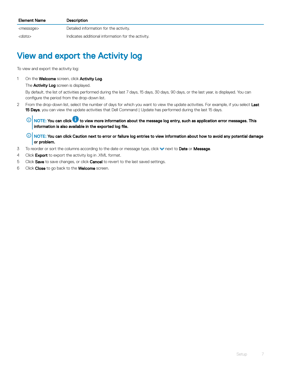<span id="page-6-0"></span>

| <b>Element Name</b> | <b>Description</b>                                 |
|---------------------|----------------------------------------------------|
| <message></message> | Detailed information for the activity.             |
| <data></data>       | Indicates additional information for the activity. |

### View and export the Activity log

To view and export the activity log:

1 On the **Welcome** screen, click **Activity Log**.

The **Activity Log** screen is displayed.

By default, the list of activities performed during the last 7 days, 15 days, 30 days, 90 days, or the last year, is displayed. You can configure the period from the drop-down list.

- 2 From the drop-down list, select the number of days for which you want to view the update activities. For example, if you select Last 15 Days, you can view the update activities that Dell Command | Update has performed during the last 15 days.
	- $\circled{0}$  NOTE: You can click  $\bullet$  to view more information about the message log entry, such as application error messages. This information is also available in the exported log file.
	- $\ket{0}$  NOTE: You can click Caution next to error or failure log entries to view information about how to avoid any potential damage or problem.
- 3 To reorder or sort the columns according to the date or message type, click **the act to Date or Message**.
- 4 Click **Export** to export the activity log in .XML format.
- 5 Click Save to save changes, or click Cancel to revert to the last saved settings.
- 6 Click Close to go back to the Welcome screen.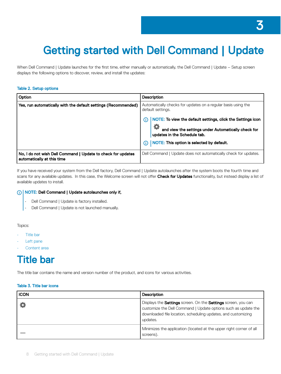# <span id="page-7-0"></span>Getting started with Dell Command | Update

When Dell Command | Update launches for the first time, either manually or automatically, the Dell Command | Update – Setup screen displays the following options to discover, review, and install the updates:

#### Table 2. Setup options

| Option                                                                                     | <b>Description</b>                                                                  |
|--------------------------------------------------------------------------------------------|-------------------------------------------------------------------------------------|
| Yes, run automatically with the default settings (Recommended)                             | Automatically checks for updates on a regular basis using the<br>default settings.  |
|                                                                                            | NOTE: To view the default settings, click the Settings icon                         |
|                                                                                            | and view the settings under Automatically check for<br>updates in the Schedule tab. |
|                                                                                            | NOTE: This option is selected by default.                                           |
| No, I do not wish Dell Command   Update to check for updates<br>automatically at this time | Dell Command   Update does not automatically check for updates.                     |

If you have received your system from the Dell factory, Dell Command | Update autolaunches after the system boots the fourth time and scans for any available updates. In this case, the Welcome screen will not offer Check for Updates functionality, but instead display a list of available updates to install.

#### NOTE: Dell Command | Update autolaunches only if,

- Dell Command | Update is factory installed.
- Dell Command | Update is not launched manually.

#### Topics:

- Title bar
- [Left pane](#page-8-0)
- [Content area](#page-8-0)

## Title bar

The title bar contains the name and version number of the product, and icons for various activities.

#### Table 3. Title bar icons

| <b>ICON</b> | <b>Description</b>                                                                                                                                                                                                         |
|-------------|----------------------------------------------------------------------------------------------------------------------------------------------------------------------------------------------------------------------------|
|             | Displays the <b>Settings</b> screen. On the <b>Settings</b> screen, you can<br>customize the Dell Command   Update options such as update the<br>downloaded file location, scheduling updates, and customizing<br>updates. |
|             | Minimizes the application (located at the upper right corner of all<br>screens).                                                                                                                                           |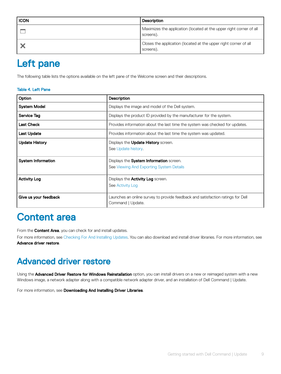<span id="page-8-0"></span>

| ICON | <b>Description</b>                                                               |
|------|----------------------------------------------------------------------------------|
|      | Maximizes the application (located at the upper right corner of all<br>screens). |
|      | Closes the application (located at the upper right corner of all<br>screens).    |

### Left pane

The following table lists the options available on the left pane of the Welcome screen and their descriptions.

#### Table 4. Left Pane

| Option                    | <b>Description</b>                                                                                   |
|---------------------------|------------------------------------------------------------------------------------------------------|
| <b>System Model</b>       | Displays the image and model of the Dell system.                                                     |
| Service Tag               | Displays the product ID provided by the manufacturer for the system.                                 |
| <b>Last Check</b>         | Provides information about the last time the system was checked for updates.                         |
| <b>Last Update</b>        | Provides information about the last time the system was updated.                                     |
| <b>Update History</b>     | Displays the <b>Update History</b> screen.<br>See Update history.                                    |
| <b>System Information</b> | Displays the System Information screen.<br>See Viewing And Exporting System Details                  |
| <b>Activity Log</b>       | Displays the <b>Activity Log</b> screen.<br>See Activity Log                                         |
| Give us your feedback     | Launches an online survey to provide feedback and satisfaction ratings for Dell<br>Command   Update. |

### Content area

From the **Content Area**, you can check for and install updates.

For more information, see [Checking For And Installing Updates](#page-9-0). You can also download and install driver libraries. For more information, see Advance driver restore.

### Advanced driver restore

Using the Advanced Driver Restore for Windows Reinstallation option, you can install drivers on a new or reimaged system with a new Windows image, a network adapter along with a compatible network adapter driver, and an installation of Dell Command | Update.

For more information, see Downloading And Installing Driver Libraries.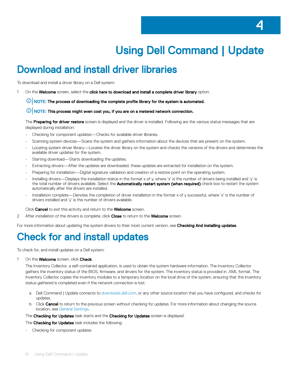# Using Dell Command | Update

## <span id="page-9-0"></span>Download and install driver libraries

To download and install a driver library on a Dell system:

- 1 On the Welcome screen, select the click here to download and install a complete driver library option.
	- $\bigcirc$  NOTE: The process of downloading the complete profile library for the system is automated.
	- $\bigcirc$  NOTE: This process might even cost you, if you are on a metered network connection.

The Preparing for driver restore screen is displayed and the driver is installed. Following are the various status messages that are displayed during installation:

- Checking for component updates—Checks for available driver libraries.
- Scanning system devices—Scans the system and gathers information about the devices that are present on the system.
- Locating system driver library—Locates the driver library on the system and checks the versions of the drivers and determines the available driver updates for the system.
- Starting download—Starts downloading the updates.
- Extracting drivers—After the updates are downloaded, these updates are extracted for installation on the system.
- Preparing for installation—Digital signature validation and creation of a restore point on the operating system.
- Installing drivers—Displays the installation status in the format x of y, where 'x' is the number of drivers being installed and 'y' is the total number of drivers available. Select the Automatically restart system (when required) check box to restart the system automatically after the drivers are installed.
- Installation complete—Denotes the completion of driver installation in the format x of y successful, where 'x' is the number of drivers installed and 'y' is the number of drivers available.

Click Cancel to exit this activity and return to the Welcome screen.

2 After installation of the drivers is complete, click Close to return to the Welcome screen.

For more information about updating the system drivers to their most current version, see Checking And installing updates.

### Check for and install updates

To check for, and install updates on a Dell system:

1 On the **Welcome** screen, click **Check**.

The Inventory Collector, a self-contained application, is used to obtain the system hardware information. The Inventory Collector gathers the inventory status of the BIOS, firmware, and drivers for the system. The inventory status is provided in .XML format. The Inventory Collector copies the inventory modules to a temporary location on the local drive of the system, ensuring that the inventory status gathered is completed even if the network connection is lost.

- a Dell Command | Update connects to [downloads.dell.com,](http://downloads.dell.com) or any other source location that you have configured, and checks for updates.
- b Click Cancel to return to the previous screen without checking for updates. For more information about changing the source location, see [General Settings.](#page-14-0)
- The Checking for Updates task starts and the Checking for Updates screen is displayed.

The **Checking for Updates** task includes the following:

Checking for component updates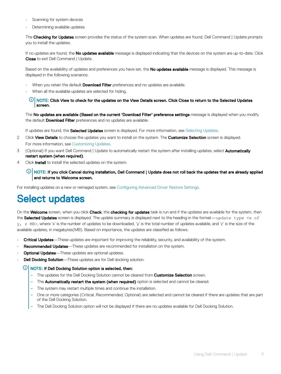- <span id="page-10-0"></span>Scanning for system devices
- Determining available updates

The Checking for Updates screen provides the status of the system scan. When updates are found, Dell Command | Update prompts you to install the updates.

If no updates are found, the No updates available message is displayed indicating that the devices on the system are up-to-date. Click **Close** to exit Dell Command | Update.

Based on the availability of updates and preferences you have set, the No updates available message is displayed. This message is displayed in the following scenarios:

- When you retain the default **Download Filter** preferences and no updates are available.
- When all the available updates are selected for hiding.
	- $\mathbb O|$  NOTE: Click View to check for the updates on the View Details screen. Click Close to return to the Selected Updates screen.

The No updates are available (Based on the current 'Download Filter' preference settings message is displayed when you modify the default **Download Filter** preferences and no updates are available.

If updates are found, the **Selected Updates** screen is displayed. For more information, see Selecting Updates.

- 2 Click View Details to choose the updates you want to install on the system. The Customize Selection screen is displayed. For more information, see [Customizing Updates.](#page-11-0)
- 3 (Optional) If you want Dell Command | Update to automatically restart the system after installing updates, select Automatically restart system (when required).
- 4 Click **Install** to install the selected updates on the system.

#### $\circled{0}$  NOTE: If you click Cancel during installation, Dell Command | Update does not roll back the updates that are already applied and returns to Welcome screen.

For installing updates on a new or reimaged system, see Configuring Advanced Driver Restore Settings.

### Select updates

On the Welcome screen, when you click Check, the checking for updates task is run and if the updates are available for the system, then the Selected Updates screen is displayed. The update summary is displayed next to the heading in the format—update type  $\langle x \rangle$  of y, z MB>, where 'x' is the number of updates to be downloaded, 'y' is the total number of updates available, and 'z' is the size of the available updates, in megabytes(MB). Based on importance, the updates are classified as follows:

- Critical Updates—These updates are important for improving the reliability, security, and availability of the system.
- **Recommended Updates**—These updates are recommended for installation on the system.
- **Optional Updates**—These updates are optional updates.
- **Dell Docking Solution**—These updates are for Dell docking solution.

#### $\circled{1}$  NOTE: If Dell Docking Solution option is selected, then:

- The updates for the Dell Docking Solution cannot be cleared from Customize Selection screen.
- The **Automatically restart the system (when required)** option is selected and cannot be cleared.
- The system may restart multiple times and continue the installation.
- One or more categories (Critical, Recommended, Optional) are selected and cannot be cleared if there are updates that are part of the Dell Docking Solution.
- The Dell Docking Solution option will not be displayed if there are no updates available for Dell Docking Solution.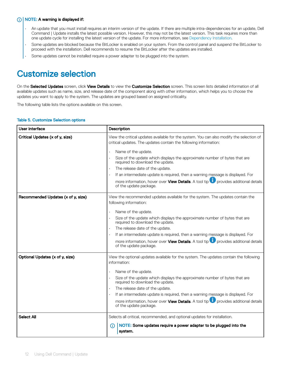#### <span id="page-11-0"></span> $(i)$  NOTE: A warning is displayed if:

- An update that you must install requires an interim version of the update. If there are multiple intra-dependencies for an update, Dell Command | Update installs the latest possible version. However, this may not be the latest version. This task requires more than one update cycle for installing the latest version of the update. For more information, see [Dependency Installation](#page-12-0).
- Some updates are blocked because the BitLocker is enabled on your system. From the control panel and suspend the BitLocker to proceed with the installation. Dell recommends to resume the BitLocker after the updates are installed.
- Some updates cannot be installed require a power adapter to be plugged into the system.

### Customize selection

On the Selected Updates screen, click View Details to view the Customize Selection screen. This screen lists detailed information of all available updates such as name, size, and release date of the component along with other information, which helps you to choose the updates you want to apply to the system. The updates are grouped based on assigned criticality.

The following table lists the options available on this screen.

#### Table 5. Customize Selection options

| User interface                     | <b>Description</b>                                                                                                                                                                                                                                                                                                                                                                                                                                                                                      |
|------------------------------------|---------------------------------------------------------------------------------------------------------------------------------------------------------------------------------------------------------------------------------------------------------------------------------------------------------------------------------------------------------------------------------------------------------------------------------------------------------------------------------------------------------|
| Critical Updates (x of y, size)    | View the critical updates available for the system. You can also modify the selection of<br>critical updates. The updates contain the following information:<br>Name of the update.<br>Size of the update which displays the approximate number of bytes that are<br>required to download the update.<br>The release date of the update.<br>If an intermediate update is required, then a warning message is displayed. For                                                                             |
|                                    | more information, hover over <b>View Details</b> . A tool tip <b>U</b> provides additional details<br>of the update package.                                                                                                                                                                                                                                                                                                                                                                            |
| Recommended Updates (x of y, size) | View the recommended updates available for the system. The updates contain the<br>following information:<br>Name of the update.<br>Size of the update which displays the approximate number of bytes that are<br>required to download the update.<br>The release date of the update.<br>If an intermediate update is required, then a warning message is displayed. For<br>more information, hover over <b>View Details</b> . A tool tip <b>D</b> provides additional details<br>of the update package. |
| Optional Updates (x of y, size)    | View the optional updates available for the system. The updates contain the following<br>information:<br>Name of the update.<br>Size of the update which displays the approximate number of bytes that are<br>required to download the update.<br>The release date of the update.<br>If an intermediate update is required, then a warning message is displayed. For<br>more information, hover over <b>View Details</b> . A tool tip <b>D</b> provides additional details<br>of the update package.    |
| <b>Select All</b>                  | Selects all critical, recommended, and optional updates for installation.<br>NOTE: Some updates require a power adapter to be plugged into the<br>(i)<br>system.                                                                                                                                                                                                                                                                                                                                        |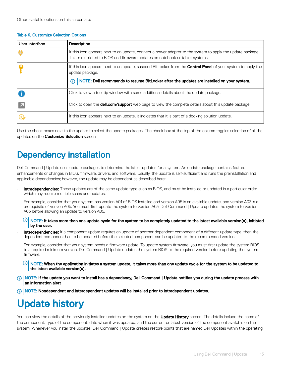#### <span id="page-12-0"></span>Table 6. Customize Selection Options

| User interface           | <b>Description</b>                                                                                                                                                                                                                  |
|--------------------------|-------------------------------------------------------------------------------------------------------------------------------------------------------------------------------------------------------------------------------------|
| I₩                       | If this icon appears next to an update, connect a power adapter to the system to apply the update package.<br>This is restricted to BIOS and firmware updates on notebook or tablet systems.                                        |
|                          | If this icon appears next to an update, suspend BitLocker from the <b>Control Panel</b> of your system to apply the<br>update package.<br>NOTE: Dell recommends to resume BitLocker after the updates are installed on your system. |
|                          |                                                                                                                                                                                                                                     |
|                          | Click to view a tool tip window with some additional details about the update package.                                                                                                                                              |
| $\overline{\phantom{a}}$ | Click to open the <b>dell.com/support</b> web page to view the complete details about this update package.                                                                                                                          |
| Q                        | If this icon appears next to an update, it indicates that it is part of a docking solution update.                                                                                                                                  |

Use the check boxes next to the update to select the update packages. The check box at the top of the column toggles selection of all the updates on the **Customize Selection** screen.

### Dependency installation

Dell Command | Update uses update packages to determine the latest updates for a system. An update package contains feature enhancements or changes in BIOS, firmware, drivers, and software. Usually, the update is self-sufficient and runs the preinstallation and applicable dependencies; however, the update may be dependent as described here:

Intradependencies: These updates are of the same update type such as BIOS, and must be installed or updated in a particular order which may require multiple scans and updates.

For example, consider that your system has version A01 of BIOS installed and version A05 is an available update, and version A03 is a prerequisite of version A05. You must first update the system to version A03. Dell Command | Update updates the system to version A03 before allowing an update to version A05.

- $\circled{0}$  NOTE: It takes more than one update cycle for the system to be completely updated to the latest available version(s), initiated by the user.
- Interdependencies: If a component update requires an update of another dependent component of a different update type, then the dependent component has to be updated before the selected component can be updated to the recommended version.

For example, consider that your system needs a firmware update. To update system firmware, you must first update the system BIOS to a required minimum version. Dell Command | Update updates the system BIOS to the required version before updating the system firmware.

- ൘ NOTE: When the application initiates a system update, it takes more than one update cycle for the system to be updated to the latest available version(s).
- (i) NOTE: If the update you want to install has a dependency, Dell Command | Update notifies you during the update process with an information alert
- NOTE: Nondependent and interdependent updates will be installed prior to intradependent updates.

## Update history

You can view the details of the previously installed updates on the system on the Update History screen. The details include the name of the component, type of the component, date when it was updated, and the current or latest version of the component available on the system. Whenever you install the updates, Dell Command | Update creates restore points that are named Dell Updates within the operating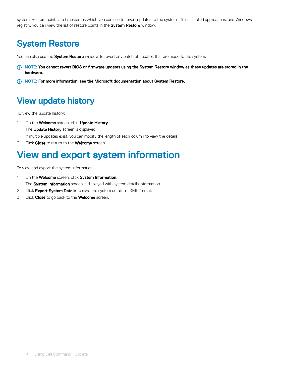<span id="page-13-0"></span>system. Restore points are timestamps which you can use to revert updates to the system's files, installed applications, and Windows registry. You can view the list of restore points in the System Restore window.

### System Restore

You can also use the **System Restore** window to revert any batch of updates that are made to the system.

- $\cap$  NOTE: You cannot revert BIOS or firmware updates using the System Restore window as these updates are stored in the hardware.
- NOTE: For more information, see the Microsoft documentation about System Restore.

### View update history

To view the update history:

1 On the **Welcome** screen, click **Update History**.

The **Update History** screen is displayed.

If multiple updates exist, you can modify the length of each column to view the details.

2 Click Close to return to the Welcome screen.

### View and export system information

To view and export the system information:

- 1 On the **Welcome** screen, click **System Information**. The System Information screen is displayed with system details information.
- 2 Click Export System Details to save the system details in .XML format.
- 3 Click Close to go back to the Welcome screen.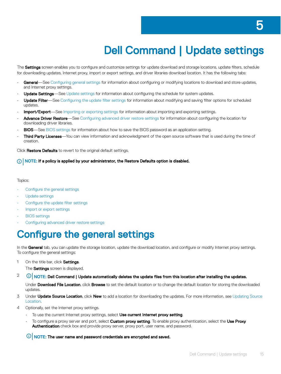# Dell Command | Update settings

<span id="page-14-0"></span>The Settings screen enables you to configure and customize settings for update download and storage locations, update filters, schedule for downloading updates, Internet proxy, import or export settings, and driver libraries download location. It has the following tabs:

- General—See Configuring general settings for information about configuring or modifying locations to download and store updates, and Internet proxy settings.
- **Update Settings**—See [Update settings](#page-15-0) for information about configuring the schedule for system updates.
- Update Filter—See Configuring the update filter settings for information about modifying and saving filter options for scheduled updates.
- **Import/Export**—See [Importing or exporting settings](#page-16-0) for information about importing and exporting settings.
- Advance Driver Restore—See Configuring advanced driver restore settings for information about configuring the location for downloading driver libraries.
- **BIOS**—See [BIOS settings](#page-16-0) for information about how to save the BIOS password as an application setting.
- Third Party Licenses-You can view information and acknowledgment of the open source software that is used during the time of creation.

Click Restore Defaults to revert to the original default settings.

#### (i) NOTE: If a policy is applied by your administrator, the Restore Defaults option is disabled.

#### Topics:

- Configure the general settings
- [Update settings](#page-15-0)
- Configure the update filter settings
- [Import or export settings](#page-16-0)
- [BIOS settings](#page-16-0)
- Configuring advanced driver restore settings

### **Configure the general settings**

In the General tab, you can update the storage location, update the download location, and configure or modify Internet proxy settings. To configure the general settings:

1 On the title bar, click **Settings**.

The **Settings** screen is displayed.

 $2$   $\circ$   $\circ$  NOTE: Dell Command | Update automatically deletes the update files from this location after installing the updates.

Under Download File Location, click Browse to set the default location or to change the default location for storing the downloaded updates.

- 3 Under Update Source Location, click New to add a location for downloading the updates. For more information, see [Updating Source](#page-15-0) [Location](#page-15-0).
- 4 Optionally, set the Internet proxy settings.
	- To use the current Internet proxy settings, select Use current Internet proxy setting.
	- To configure a proxy server and port, select Custom proxy setting. To enable proxy authentication, select the Use Proxy Authentication check box and provide proxy server, proxy port, user name, and password.

#### $\bigcirc$  NOTE: The user name and password credentials are encrypted and saved.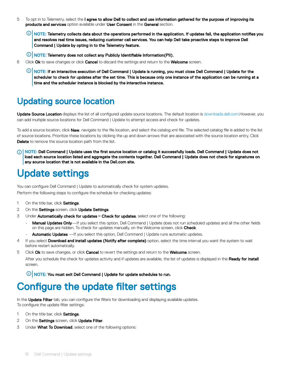- <span id="page-15-0"></span>5 To opt in to Telemetry, select the I agree to allow Dell to collect and use information gathered for the purpose of improving its products and services option available under User Consent in the General section.
	- $\bigcirc|$  NOTE: Telemetry collects data about the operations performed in the application. If updates fail, the application notifies you and resolves real time issues, reducing customer call services. You can help Dell take proactive steps to improve Dell Command | Update by opting in to the Telemetry feature.
	- *O* NOTE: Telemetry does not collect any Publicly Identifiable Information(PII).
- 6 Click Ok to save changes or click Cancel to discard the settings and return to the Welcome screen.
	- **(ii) NOTE: If an interactive execution of Dell Command | Update is running, you must close Dell Command | Update for the** scheduler to check for updates after the set time. This is because only one instance of the application can be running at a time and the scheduler instance is blocked by the interactive instance.

### Updating source location

Update Source Location displays the list of all configured update source locations. The default location is [downloads.dell.com](http://downloads.dell.com).However, you can add multiple source locations for Dell Command | Update to attempt access and check for updates.

To add a source location, click New, navigate to the file location, and select the catalog.xml file. The selected catalog file is added to the list of source locations. Prioritize these locations by clicking the up and down arrows that are associated with the source location entry. Click **Delete** to remove the source location path from the list.

NOTE: Dell Command | Update uses the first source location or catalog it successfully loads. Dell Command | Update does not നി load each source location listed and aggregate the contents together. Dell Command | Update does not check for signatures on any source location that is not available in the Dell.com site.

## Update settings

You can configure Dell Command | Update to automatically check for system updates. Perform the following steps to configure the schedule for checking updates:

- 1 On the title bar, click Settings.
- 2 On the Settings screen, click Update Settings.
- 3 Under Automatically check for updates **>** Check for updates, select one of the following:
	- Manual Updates Only—If you select this option, Dell Command | Update does not run scheduled updates and all the other fields on this page are hidden. To check for updates manually, on the Welcome screen, click Check.
	- **Automatic Updates** —If you select this option, Dell Command | Update runs automatic updates.
- 4 If you select Download and install updates (Notify after complete) option, select the time interval you want the system to wait before restart automatically.
- 5 Click Ok to save changes, or click Cancel to revert the settings and return to the Welcome screen. After you schedule the check for updates activity and if updates are available, the list of updates is displayed in the Ready for install screen.

 $\circ$  NOTE: You must exit Dell Command | Update for update schedules to run.

### Configure the update filter settings

In the Update Filter tab, you can configure the filters for downloading and displaying available updates. To configure the update filter settings:

- 1 On the title bar, click Settings.
- 2 On the Settings screen, click Update Filter.
- 3 Under What To Download, select one of the following options: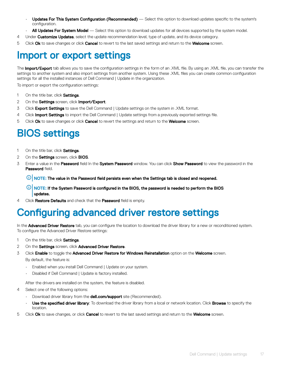- <span id="page-16-0"></span>Updates For This System Configuration (Recommended) — Select this option to download updates specific to the system's configuration.
- All Updates For System Model Select this option to download updates for all devices supported by the system model.
- 4 Under Customize Updates, select the update recommendation level, type of update, and its device category.
- 5 Click Ok to save changes or click Cancel to revert to the last saved settings and return to the Welcome screen.

### Import or export settings

The **Import/Export** tab allows you to save the configuration settings in the form of an .XML file. By using an .XML file, you can transfer the settings to another system and also import settings from another system. Using these .XML files you can create common configuration settings for all the installed instances of Dell Command | Update in the organization.

To import or export the configuration settings:

- 1 On the title bar, click Settings.
- 2 On the **Settings** screen, click **Import/Export**.
- 3 Click Export Settings to save the Dell Command | Update settings on the system in .XML format.
- 4 Click Import Settings to import the Dell Command | Update settings from a previously exported settings file.
- 5 Click Ok to save changes or click Cancel to revert the settings and return to the Welcome screen.

## BIOS settings

- 1 On the title bar, click Settings
- 2 On the **Settings** screen, click **BIOS**.
- 3 Enter a value in the Password field In the System Password window. You can click Show Password to view the password in the Password field.
	- $\bigcirc|$  NOTE: The value in the Password field persists even when the Settings tab is closed and reopened.
	- $\Omega$ NOTE: If the System Password is configured in the BIOS, the password is needed to perform the BIOS updates.
- 4 Click Restore Defaults and check that the Password field is empty.

### Configuring advanced driver restore settings

In the **Advanced Driver Restore** tab, you can configure the location to download the driver library for a new or reconditioned system. To configure the Advanced Driver Restore settings:

- 1 On the title bar, click Settings
- 2 On the Settings screen, click Advanced Driver Restore.
- 3 Click Enable to toggle the Advanced Driver Restore for Windows Reinstallation option on the Welcome screen. By default, the feature is:
	- Enabled when you install Dell Command | Update on your system.
	- Disabled if Dell Command | Update is factory installed.

After the drivers are installed on the system, the feature is disabled.

- 4 Select one of the following options:
	- Download driver library from the **dell.com/support** site (Recommended).
	- Use the specified driver library: To download the driver library from a local or network location. Click Browse to specify the location.
- 5 Click Ok to save changes, or click Cancel to revert to the last saved settings and return to the Welcome screen.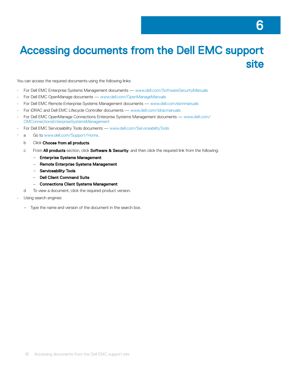6

<span id="page-17-0"></span>You can access the required documents using the following links:

- For Dell EMC Enterprise Systems Management documents — [www.dell.com/SoftwareSecurityManuals](http://www.dell.com/SoftwareSecurityManuals)
- For Dell EMC OpenManage documents — [www.dell.com/OpenManageManuals](https://www.dell.com/OpenManageManuals)
- For Dell EMC Remote Enterprise Systems Management documents — [www.dell.com/esmmanuals](http://www.dell.com/OpenManageManuals)
- For iDRAC and Dell EMC Lifecycle Controller documents — [www.dell.com/idracmanuals](https://www.dell.com/idracmanuals)
- For Dell EMC OpenManage Connections Enterprise Systems Management documents — [www.dell.com/](https://www.dell.com/OMConnectionsEnterpriseSystemsManagement) [OMConnectionsEnterpriseSystemsManagement](https://www.dell.com/OMConnectionsEnterpriseSystemsManagement)
- For Dell EMC Serviceability Tools documents — [www.dell.com/ServiceabilityTools](https://www.dell.com/ServiceabilityTools)
- a Go to [www.dell.com/Support/Home.](https://www.dell.com/Support/Home)
	- b Click Choose from all products.
	- c From **All products** section, click **Software & Security**, and then click the required link from the following:
		- Enterprise Systems Management
		- Remote Enterprise Systems Management
		- Serviceability Tools
		- Dell Client Command Suite
		- Connections Client Systems Management
	- d To view a document, click the required product version.
- Using search engines:
	- Type the name and version of the document in the search box.